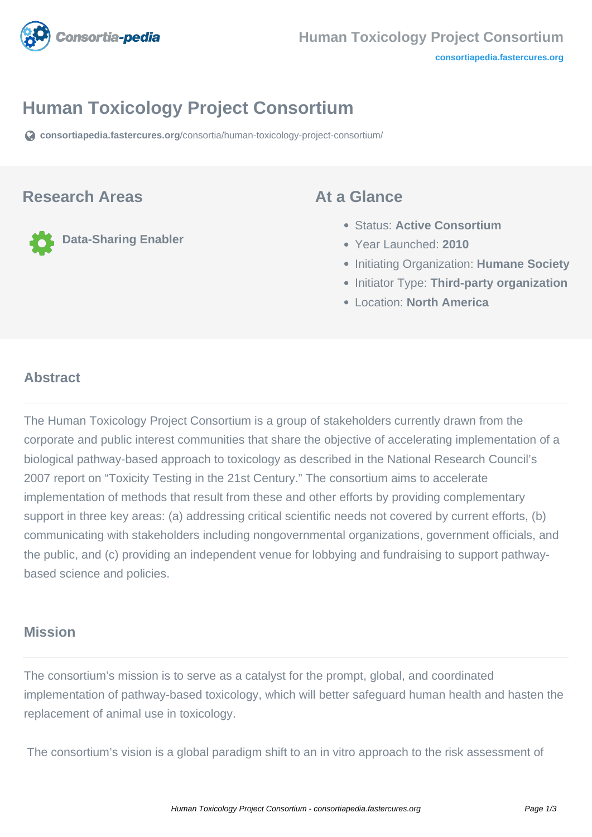

# **Human Toxicology Project Consortium**

**[consortiapedia.fastercures.org](https://consortiapedia.fastercures.org/consortia/human-toxicology-project-consortium/)**[/consortia/human-toxicology-project-consortium/](https://consortiapedia.fastercures.org/consortia/human-toxicology-project-consortium/)

#### **Research Areas**

**Data-Sharing Enabler**

**At a Glance**

- Status: **Active Consortium**
- Year Launched: **2010**
- **Initiating Organization: Humane Society**
- **Initiator Type: Third-party organization**
- Location: **North America**

#### $\overline{a}$ **Abstract**

The Human Toxicology Project Consortium is a group of stakeholders currently drawn from the corporate and public interest communities that share the objective of accelerating implementation of a biological pathway-based approach to toxicology as described in the National Research Council's 2007 report on "Toxicity Testing in the 21st Century." The consortium aims to accelerate implementation of methods that result from these and other efforts by providing complementary support in three key areas: (a) addressing critical scientific needs not covered by current efforts, (b) communicating with stakeholders including nongovernmental organizations, government officials, and the public, and (c) providing an independent venue for lobbying and fundraising to support pathwaybased science and policies.

#### **Mission**

The consortium's mission is to serve as a catalyst for the prompt, global, and coordinated implementation of pathway-based toxicology, which will better safeguard human health and hasten the replacement of animal use in toxicology.

The consortium's vision is a global paradigm shift to an in vitro approach to the risk assessment of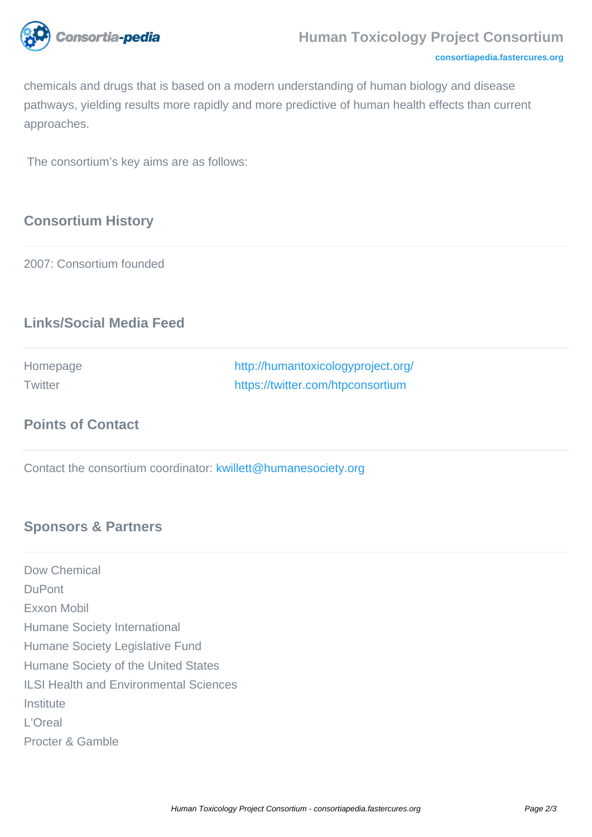

chemicals and drugs that is based on a modern understanding of human biology and disease pathways, yielding results more rapidly and more predictive of human health effects than current approaches.

The consortium's key aims are as follows:

# **Consortium History**

2007: Consortium founded

# **Links/Social Media Feed**

| Homepage | http://humantoxicologyproject.org/ |
|----------|------------------------------------|
| Twitter  | https://twitter.com/htpconsortium  |

#### **Points of Contact**

Contact the consortium coordinator: [kwillett@humanesociety.org](mailto:kwillett@humanesociety.org)

# **Sponsors & Partners**

Dow Chemical DuPont Exxon Mobil Humane Society International Humane Society Legislative Fund Humane Society of the United States ILSI Health and Environmental Sciences Institute L'Oreal Procter & Gamble